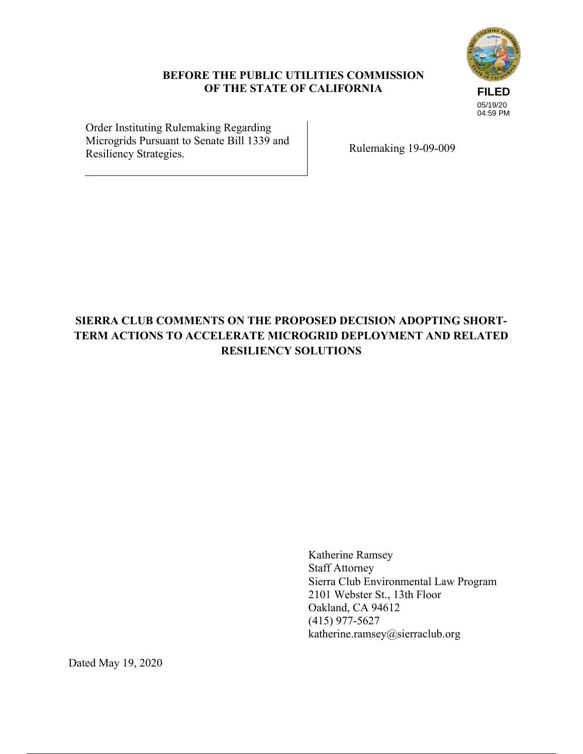## **BEFORE THE PUBLIC UTILITIES COMMISSION OF THE STATE OF CALIFORNIA**



Order Instituting Rulemaking Regarding Microgrids Pursuant to Senate Bill 1339 and Rulemaking 19-09-009<br>Resiliency Strategies.

# **SIERRA CLUB COMMENTS ON THE PROPOSED DECISION ADOPTING SHORT-TERM ACTIONS TO ACCELERATE MICROGRID DEPLOYMENT AND RELATED RESILIENCY SOLUTIONS**

Katherine Ramsey Staff Attorney Sierra Club Environmental Law Program 2101 Webster St., 13th Floor Oakland, CA 94612 (415) 977-5627 katherine.ramsey@sierraclub.org

Dated May 19, 2020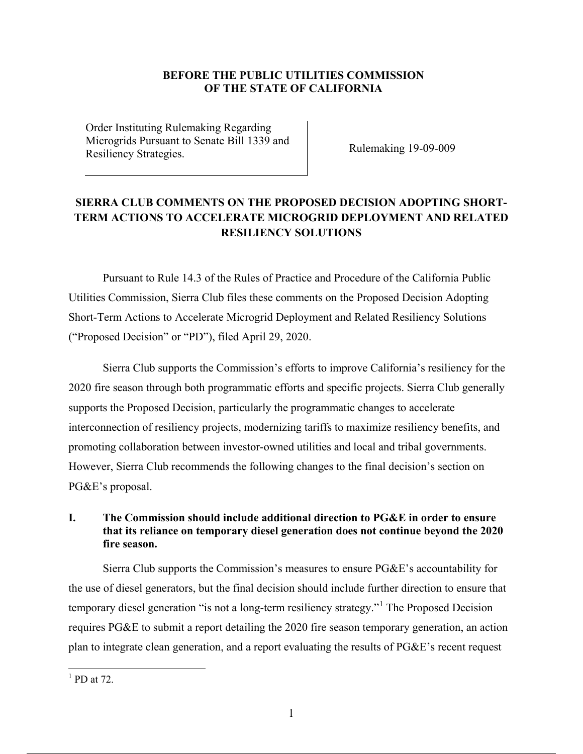### **BEFORE THE PUBLIC UTILITIES COMMISSION OF THE STATE OF CALIFORNIA**

Order Instituting Rulemaking Regarding Microgrids Pursuant to Senate Bill 1339 and Rulemaking 19-09-009<br>Resiliency Strategies.

## **SIERRA CLUB COMMENTS ON THE PROPOSED DECISION ADOPTING SHORT-TERM ACTIONS TO ACCELERATE MICROGRID DEPLOYMENT AND RELATED RESILIENCY SOLUTIONS**

Pursuant to Rule 14.3 of the Rules of Practice and Procedure of the California Public Utilities Commission, Sierra Club files these comments on the Proposed Decision Adopting Short-Term Actions to Accelerate Microgrid Deployment and Related Resiliency Solutions ("Proposed Decision" or "PD"), filed April 29, 2020.

Sierra Club supports the Commission's efforts to improve California's resiliency for the 2020 fire season through both programmatic efforts and specific projects. Sierra Club generally supports the Proposed Decision, particularly the programmatic changes to accelerate interconnection of resiliency projects, modernizing tariffs to maximize resiliency benefits, and promoting collaboration between investor-owned utilities and local and tribal governments. However, Sierra Club recommends the following changes to the final decision's section on PG&E's proposal.

## **I. The Commission should include additional direction to PG&E in order to ensure that its reliance on temporary diesel generation does not continue beyond the 2020 fire season.**

Sierra Club supports the Commission's measures to ensure PG&E's accountability for the use of diesel generators, but the final decision should include further direction to ensure that temporary diesel generation "is not a long-term resiliency strategy."<sup>1</sup> The Proposed Decision requires PG&E to submit a report detailing the 2020 fire season temporary generation, an action plan to integrate clean generation, and a report evaluating the results of PG&E's recent request

 $\overline{a}$ 

 $<sup>1</sup>$  PD at 72.</sup>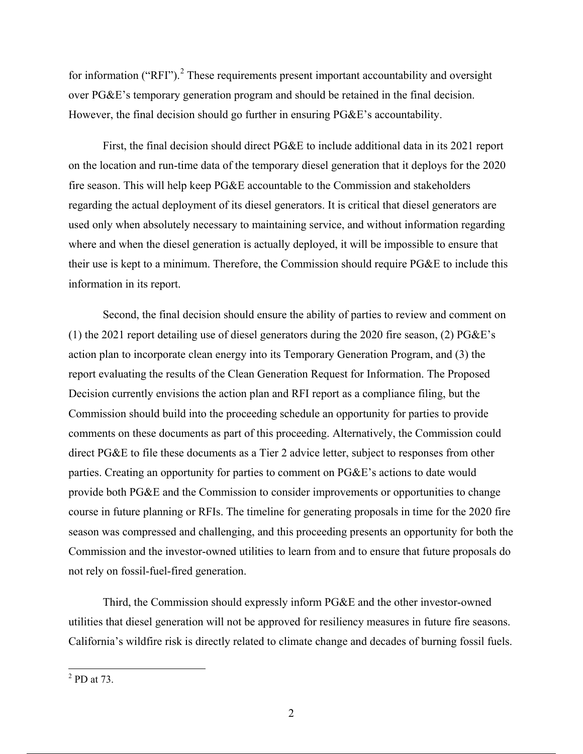for information ("RFI").<sup>2</sup> These requirements present important accountability and oversight over PG&E's temporary generation program and should be retained in the final decision. However, the final decision should go further in ensuring PG&E's accountability.

First, the final decision should direct PG&E to include additional data in its 2021 report on the location and run-time data of the temporary diesel generation that it deploys for the 2020 fire season. This will help keep PG&E accountable to the Commission and stakeholders regarding the actual deployment of its diesel generators. It is critical that diesel generators are used only when absolutely necessary to maintaining service, and without information regarding where and when the diesel generation is actually deployed, it will be impossible to ensure that their use is kept to a minimum. Therefore, the Commission should require PG&E to include this information in its report.

Second, the final decision should ensure the ability of parties to review and comment on (1) the 2021 report detailing use of diesel generators during the 2020 fire season, (2) PG&E's action plan to incorporate clean energy into its Temporary Generation Program, and (3) the report evaluating the results of the Clean Generation Request for Information. The Proposed Decision currently envisions the action plan and RFI report as a compliance filing, but the Commission should build into the proceeding schedule an opportunity for parties to provide comments on these documents as part of this proceeding. Alternatively, the Commission could direct PG&E to file these documents as a Tier 2 advice letter, subject to responses from other parties. Creating an opportunity for parties to comment on PG&E's actions to date would provide both PG&E and the Commission to consider improvements or opportunities to change course in future planning or RFIs. The timeline for generating proposals in time for the 2020 fire season was compressed and challenging, and this proceeding presents an opportunity for both the Commission and the investor-owned utilities to learn from and to ensure that future proposals do not rely on fossil-fuel-fired generation.

Third, the Commission should expressly inform PG&E and the other investor-owned utilities that diesel generation will not be approved for resiliency measures in future fire seasons. California's wildfire risk is directly related to climate change and decades of burning fossil fuels.

 $\overline{a}$ 

 $<sup>2</sup>$  PD at 73.</sup>